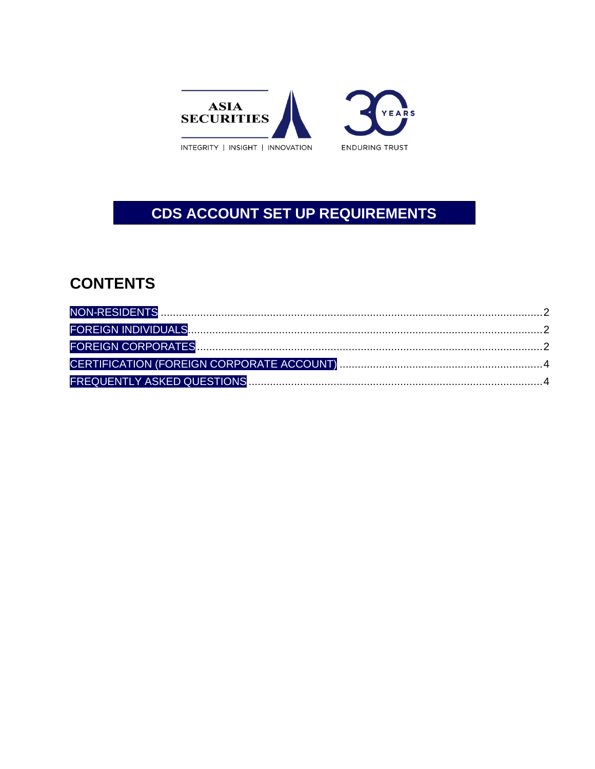

# CDS ACCOUNT SET UP REQUIREMENTS

# **CONTENTS**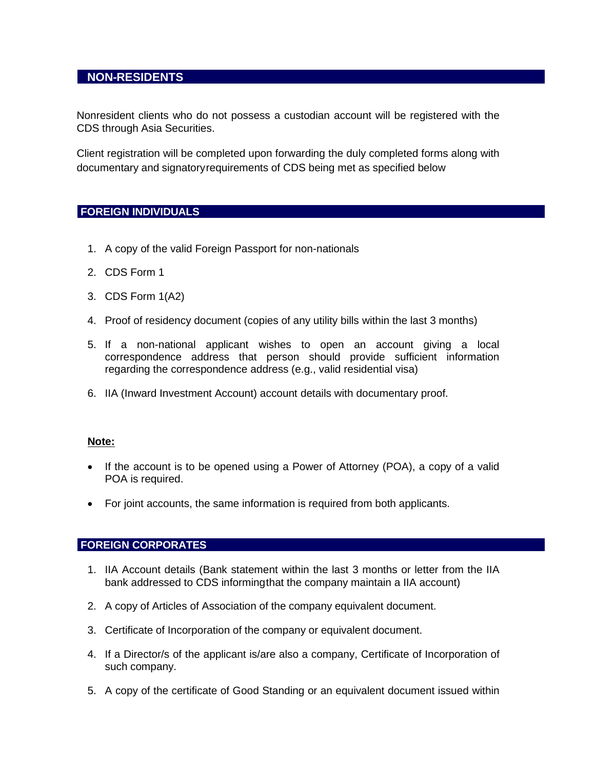# <span id="page-1-0"></span>**NON-RESIDENTS**

Nonresident clients who do not possess a custodian account will be registered with the CDS through Asia Securities.

Client registration will be completed upon forwarding the duly completed forms along with documentary and signatoryrequirements of CDS being met as specified below

#### <span id="page-1-1"></span>**FOREIGN INDIVIDUALS**

- 1. A copy of the valid Foreign Passport for non-nationals
- 2. CDS Form 1
- 3. CDS Form 1(A2)
- 4. Proof of residency document (copies of any utility bills within the last 3 months)
- 5. If a non-national applicant wishes to open an account giving a local correspondence address that person should provide sufficient information regarding the correspondence address (e.g., valid residential visa)
- 6. IIA (Inward Investment Account) account details with documentary proof.

#### **Note:**

- If the account is to be opened using a Power of Attorney (POA), a copy of a valid POA is required.
- For joint accounts, the same information is required from both applicants.

#### <span id="page-1-2"></span>**FOREIGN CORPORATES**

- 1. [IIA A](#page-3-2)ccount details (Bank statement within the last 3 months or letter from the IIA bank addressed to CDS informingthat the company maintain a IIA account)
- 2. A copy of Articles of Association of the company equivalent document.
- 3. Certificate of Incorporation of the company or equivalent document.
- 4. If a Director/s of the applicant is/are also a company, Certificate of Incorporation of such company.
- 5. A copy of the certificate of Good Standing or an equivalent document issued within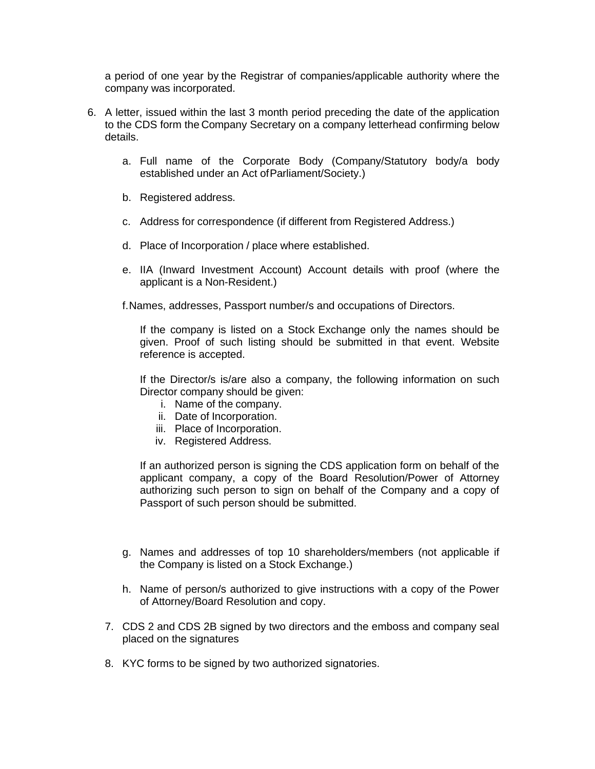a period of one year by the Registrar of companies/applicable authority where the company was incorporated.

- 6. A letter, issued within the last 3 month period preceding the date of the application to the CDS form the Company Secretary on a company letterhead confirming below details.
	- a. Full name of the Corporate Body (Company/Statutory body/a body established under an Act ofParliament/Society.)
	- b. Registered address.
	- c. Address for correspondence (if different from Registered Address.)
	- d. Place of Incorporation / place where established.
	- e. IIA (Inward Investment Account) Account details with proof (where the applicant is a Non-Resident.)

f.Names, addresses, Passport number/s and occupations of Directors.

If the company is listed on a Stock Exchange only the names should be given. Proof of such listing should be submitted in that event. Website reference is accepted.

If the Director/s is/are also a company, the following information on such Director company should be given:

- i. Name of the company.
- ii. Date of Incorporation.
- iii. Place of Incorporation.
- iv. Registered Address.

If an authorized person is signing the CDS application form on behalf of the applicant company, a copy of the Board Resolution/Power of Attorney authorizing such person to sign on behalf of the Company and a copy of Passport of such person should be submitted.

- g. Names and addresses of top 10 shareholders/members (not applicable if the Company is listed on a Stock Exchange.)
- h. Name of person/s authorized to give instructions with a copy of the Power of Attorney/Board Resolution and copy.
- 7. CDS 2 and CDS 2B signed by two directors and the emboss and company seal placed on the signatures
- 8. KYC forms to be signed by two authorized signatories.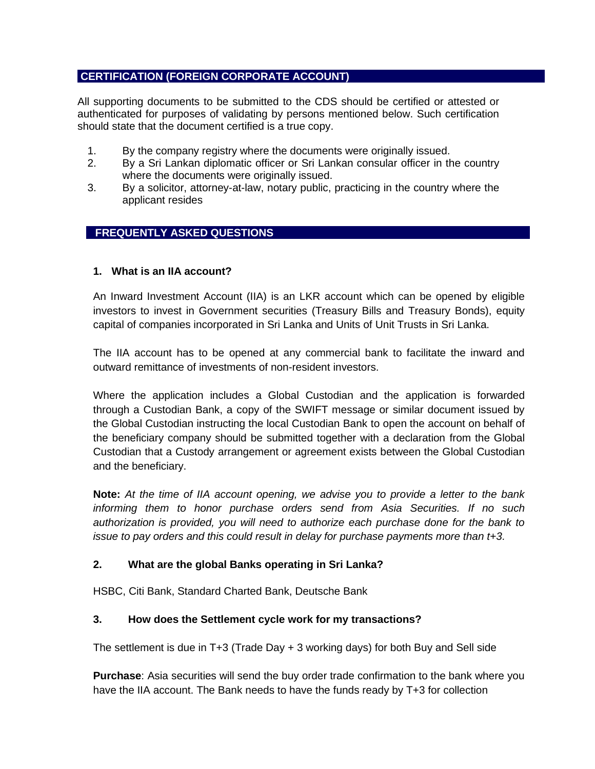# <span id="page-3-0"></span>**CERTIFICATION (FOREIGN CORPORATE ACCOUNT)**

All supporting documents to be submitted to the CDS should be certified or attested or authenticated for purposes of validating by persons mentioned below. Such certification should state that the document certified is a true copy.

- 1. By the company registry where the documents were originally issued.
- 2. By a Sri Lankan diplomatic officer or Sri Lankan consular officer in the country where the documents were originally issued.
- 3. By a solicitor, attorney-at-law, notary public, practicing in the country where the applicant resides

## <span id="page-3-1"></span>**FREQUENTLY ASKED QUESTIONS**

#### **1. What is an IIA account?**

<span id="page-3-2"></span>An Inward Investment Account (IIA) is an LKR account which can be opened by eligible investors to invest in Government securities (Treasury Bills and Treasury Bonds), equity capital of companies incorporated in Sri Lanka and Units of Unit Trusts in Sri Lanka.

The IIA account has to be opened at any commercial bank to facilitate the inward and outward remittance of investments of non-resident investors.

Where the application includes a Global Custodian and the application is forwarded through a Custodian Bank, a copy of the SWIFT message or similar document issued by the Global Custodian instructing the local Custodian Bank to open the account on behalf of the beneficiary company should be submitted together with a declaration from the Global Custodian that a Custody arrangement or agreement exists between the Global Custodian and the beneficiary.

**Note:** *At the time of IIA account opening, we advise you to provide a letter to the bank informing them to honor purchase orders send from Asia Securities. If no such authorization is provided, you will need to authorize each purchase done for the bank to issue to pay orders and this could result in delay for purchase payments more than t+3.*

#### **2. What are the global Banks operating in Sri Lanka?**

HSBC, Citi Bank, Standard Charted Bank, Deutsche Bank

#### **3. How does the Settlement cycle work for my transactions?**

The settlement is due in T+3 (Trade Day + 3 working days) for both Buy and Sell side

**Purchase**: Asia securities will send the buy order trade confirmation to the bank where you have the IIA account. The Bank needs to have the funds ready by T+3 for collection